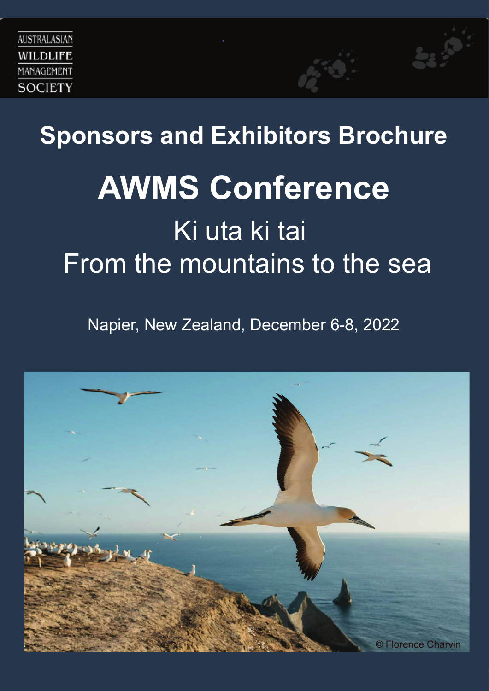

# **Sponsors and Exhibitors Brochure AWMS Conference** Ki uta ki tai From the mountains to the sea

Napier, New Zealand, December 6-8, 2022

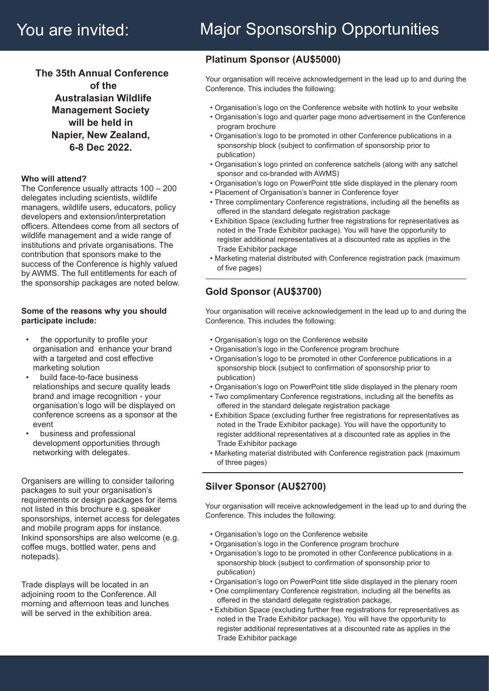**The 35th Annual Conference of the Australasian Wildlife Management Society will be held in Napier, New Zealand, 68 Dec 2022.**

### **Who will attend?**

The Conference usually attracts 100 – 200 delegates including scientists, wildlife managers, wildlife users, educators, policy developers and extension/interpretation officers. Attendees come from all sectors of wildlife management and a wide range of institutions and private organisations. The contribution that sponsors make to the success of the Conference is highly valued by AWMS. The full entitlements for each of the sponsorship packages are noted below.

### **Some of the reasons why you should participate include:**

- the opportunity to profile your organisation and enhance your brand with a targeted and cost effective marketing solution
- build face-to-face business relationships and secure quality leads brand and image recognition - your organisation's logo will be displayed on conference screens as a sponsor at the event
- business and professional development opportunities through networking with delegates.

Organisers are willing to consider tailoring packages to suit your organisation's requirements or design packages for items not listed in this brochure e.g. speaker sponsorships, internet access for delegates and mobile program apps for instance. Inkind sponsorships are also welcome (e.g. coffee mugs, bottled water, pens and notepads).

Trade displays will be located in an adjoining room to the Conference. All morning and afternoon teas and lunches will be served in the exhibition area.

## **Platinum Sponsor (AU\$5000)**

Your organisation will receive acknowledgement in the lead up to and during the Conference. This includes the following:

- Organisation's logo on the Conference website with hotlink to your website
- Organisation's logo and quarter page mono advertisement in the Conference program brochure
- Organisation's logo to be promoted in other Conference publications in a sponsorship block (subject to confirmation of sponsorship prior to publication)
- Organisation's logo printed on conference satchels (along with any satchel sponsor and co-branded with AWMS)
- Organisation's logo on PowerPoint title slide displayed in the plenary room
- Placement of Organisation's banner in Conference foyer
- Three complimentary Conference registrations, including all the benefits as offered in the standard delegate registration package
- Exhibition Space (excluding further free registrations for representatives as noted in the Trade Exhibitor package). You will have the opportunity to register additional representatives at a discounted rate as applies in the Trade Exhibitor package
- Marketing material distributed with Conference registration pack (maximum of five pages)

# **Gold Sponsor (AU\$3700)**

Your organisation will receive acknowledgement in the lead up to and during the Conference. This includes the following:

- Organisation's logo on the Conference website
- Organisation's logo in the Conference program brochure
- Organisation's logo to be promoted in other Conference publications in a sponsorship block (subject to confirmation of sponsorship prior to publication)
- Organisation's logo on PowerPoint title slide displayed in the plenary room
- Two complimentary Conference registrations, including all the benefits as offered in the standard delegate registration package
- Exhibition Space (excluding further free registrations for representatives as noted in the Trade Exhibitor package). You will have the opportunity to register additional representatives at a discounted rate as applies in the Trade Exhibitor package
- Marketing material distributed with Conference registration pack (maximum of three pages)

## **Silver Sponsor (AU\$2700)**

Your organisation will receive acknowledgement in the lead up to and during the Conference. This includes the following:

- Organisation's logo on the Conference website
- Organisation's logo in the Conference program brochure
- Organisation's logo to be promoted in other Conference publications in a sponsorship block (subject to confirmation of sponsorship prior to publication)
- Organisation's logo on PowerPoint title slide displayed in the plenary room
- One complimentary Conference registration, including all the benefits as offered in the standard delegate registration package,
- Exhibition Space (excluding further free registrations for representatives as noted in the Trade Exhibitor package). You will have the opportunity to register additional representatives at a discounted rate as applies in the Trade Exhibitor package